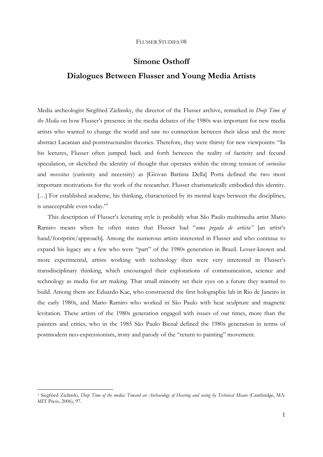# **Simone Osthoff Dialogues Between Flusser and Young Media Artists**

Media archeologist Siegfried Zielinsky, the director of the Flusser archive, remarked in *Deep Time of the Media* on how Flusser's presence in the media debates of the 1980s was important for new media artists who wanted to change the world and saw no connection between their ideas and the more abstract Lacanian and poststructuralist theories. Therefore, they were thirsty for new viewpoints: "In his lectures, Flusser often jumped back and forth between the reality of facticity and fecund speculation, or sketched the identity of thought that operates within the strong tension of *curiositas* and *necessitas* (curiosity and necessity) as [Giovan Battista Della] Porta defined the two most important motivations for the work of the researcher. Flusser charismatically embodied this identity. [...] For established academe, his thinking, characterized by its mental leaps between the disciplines, is unacceptable even today."1

This description of Flusser's lecturing style is probably what São Paulo multimedia artist Mario Ramiro means when he often states that Flusser had "*uma pegada de artista"* [an artist's hand/footprint/approach]. Among the numerous artists interested in Flusser and who continue to expand his legacy are a few who were "part" of the 1980s generation in Brazil. Lesser-known and more experimental, artists working with technology then were very interested in Flusser's transdisciplinary thinking, which encouraged their explorations of communication, science and technology as media for art making. That small minority set their eyes on a future they wanted to build. Among them are Eduardo Kac, who constructed the first holographic lab in Rio de Janeiro in the early 1980s, and Mario Ramiro who worked in São Paulo with heat sculpture and magnetic levitation. These artists of the 1980s generation engaged with issues of our times, more than the painters and critics, who in the 1985 São Paulo Bienal defined the 1980s generation in terms of postmodern neo-expressionism, irony and parody of the "return to painting" movement.

-

<sup>1</sup> Siegfried Zielinski, *Deep Time of the media: Toward an Archaeology of Hearing and seeing by Technical Means* (Cambridge, MA: MIT Press, 2006), 97.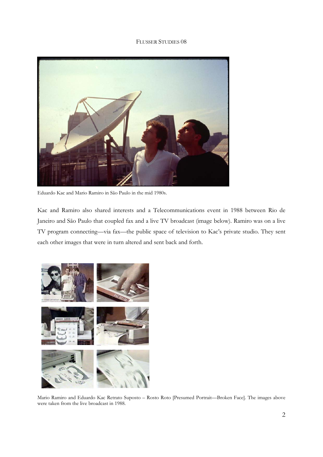

Eduardo Kac and Mario Ramiro in São Paulo in the mid 1980s.

Kac and Ramiro also shared interests and a Telecommunications event in 1988 between Rio de Janeiro and São Paulo that coupled fax and a live TV broadcast (image below). Ramiro was on a live TV program connecting—via fax—the public space of television to Kac's private studio. They sent each other images that were in turn altered and sent back and forth.



Mario Ramiro and Eduardo Kac Retrato Suposto – Rosto Roto [Presumed Portrait—Broken Face]. The images above were taken from the live broadcast in 1988.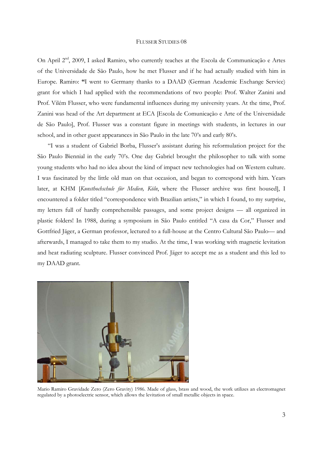On April 2<sup>nd</sup>, 2009, I asked Ramiro, who currently teaches at the Escola de Communicação e Artes of the Universidade de São Paulo, how he met Flusser and if he had actually studied with him in Europe. Ramiro: **"**I went to Germany thanks to a DAAD (German Academic Exchange Service) grant for which I had applied with the recommendations of two people: Prof. Walter Zanini and Prof. Vilém Flusser, who were fundamental influences during my university years. At the time, Prof. Zanini was head of the Art department at ECA [Escola de Comunicação e Arte of the Universidade de São Paulo], Prof. Flusser was a constant figure in meetings with students, in lectures in our school, and in other guest appearances in São Paulo in the late 70's and early 80's.

 "I was a student of Gabriel Borba, Flusser's assistant during his reformulation project for the São Paulo Biennial in the early 70's. One day Gabriel brought the philosopher to talk with some young students who had no idea about the kind of impact new technologies had on Western culture. I was fascinated by the little old man on that occasion, and began to correspond with him. Years later, at KHM [*Kunsthochschule für Medien, Köln*, where the Flusser archive was first housed], I encountered a folder titled "correspondence with Brazilian artists," in which I found, to my surprise, my letters full of hardly comprehensible passages, and some project designs — all organized in plastic folders! In 1988, during a symposium in São Paulo entitled "A casa da Cor," Flusser and Gottfried Jäger, a German professor, lectured to a full-house at the Centro Cultural São Paulo— and afterwards, I managed to take them to my studio. At the time, I was working with magnetic levitation and heat radiating sculpture. Flusser convinced Prof. Jäger to accept me as a student and this led to my DAAD grant.



Mario Ramiro Gravidade Zero (Zero Gravity) 1986. Made of glass, brass and wood, the work utilizes an electromagnet regulated by a photoelectric sensor, which allows the levitation of small metallic objects in space.